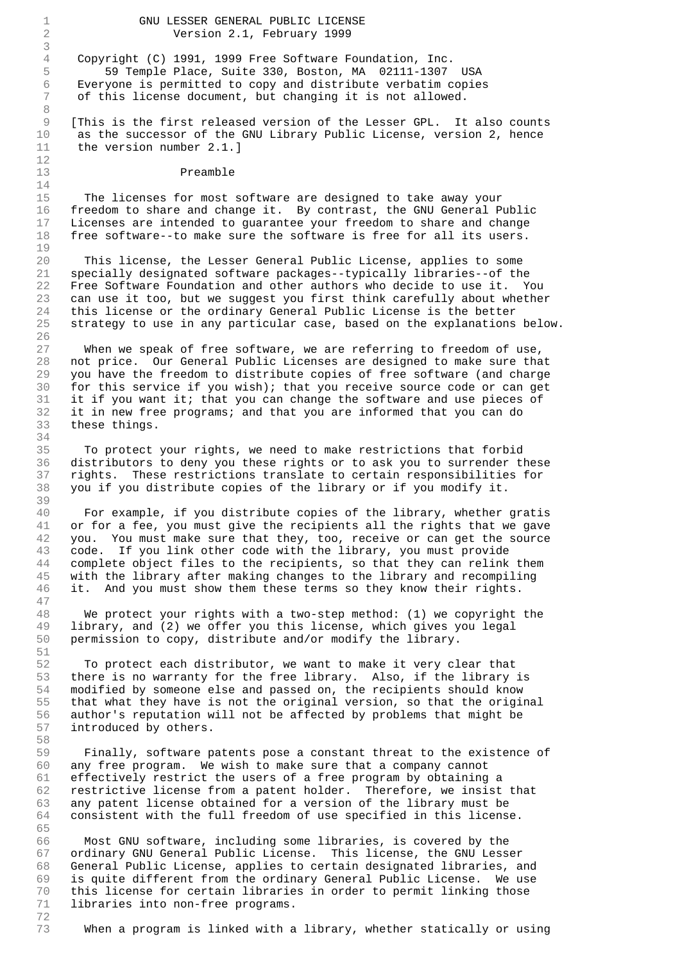## 1 GNU LESSER GENERAL PUBLIC LICENSE 2 Version 2.1, February 1999

4 Copyright (C) 1991, 1999 Free Software Foundation, Inc. 5 59 Temple Place, Suite 330, Boston, MA 02111-1307 USA 6 Everyone is permitted to copy and distribute verbatim copies 7 of this license document, but changing it is not allowed.

9 [This is the first released version of the Lesser GPL. It also counts 10 as the successor of the GNU Library Public License, version 2, hence 11 the version number 2.1.]

## 13 Preamble

3

8

12

14

19

26

34

39

47

51

58

72

15 The licenses for most software are designed to take away your 16 freedom to share and change it. By contrast, the GNU General Public 17 Licenses are intended to guarantee your freedom to share and change 18 free software--to make sure the software is free for all its users.

20 This license, the Lesser General Public License, applies to some 21 specially designated software packages--typically libraries--of the 22 Free Software Foundation and other authors who decide to use it. You 23 can use it too, but we suggest you first think carefully about whether 24 this license or the ordinary General Public License is the better 25 strategy to use in any particular case, based on the explanations below.

27 When we speak of free software, we are referring to freedom of use, 28 not price. Our General Public Licenses are designed to make sure that 29 you have the freedom to distribute copies of free software (and charge 30 for this service if you wish); that you receive source code or can get 31 it if you want it; that you can change the software and use pieces of 32 it in new free programs; and that you are informed that you can do 33 these things.

35 To protect your rights, we need to make restrictions that forbid 36 distributors to deny you these rights or to ask you to surrender these 37 rights. These restrictions translate to certain responsibilities for 38 you if you distribute copies of the library or if you modify it.

40 For example, if you distribute copies of the library, whether gratis 41 or for a fee, you must give the recipients all the rights that we gave you. You must make sure that they, too, receive or can get the source 43 code. If you link other code with the library, you must provide 44 complete object files to the recipients, so that they can relink them 45 with the library after making changes to the library and recompiling 46 it. And you must show them these terms so they know their rights.

48 We protect your rights with a two-step method: (1) we copyright the 49 library, and (2) we offer you this license, which gives you legal 50 permission to copy, distribute and/or modify the library.

52 To protect each distributor, we want to make it very clear that 53 there is no warranty for the free library. Also, if the library is 54 modified by someone else and passed on, the recipients should know 55 that what they have is not the original version, so that the original 56 author's reputation will not be affected by problems that might be 57 introduced by others.

59 Finally, software patents pose a constant threat to the existence of 60 any free program. We wish to make sure that a company cannot 61 effectively restrict the users of a free program by obtaining a 62 restrictive license from a patent holder. Therefore, we insist that 63 any patent license obtained for a version of the library must be 64 consistent with the full freedom of use specified in this license. 65

66 Most GNU software, including some libraries, is covered by the 67 ordinary GNU General Public License. This license, the GNU Lesser 68 General Public License, applies to certain designated libraries, and 69 is quite different from the ordinary General Public License. We use 70 this license for certain libraries in order to permit linking those 71 libraries into non-free programs.

73 When a program is linked with a library, whether statically or using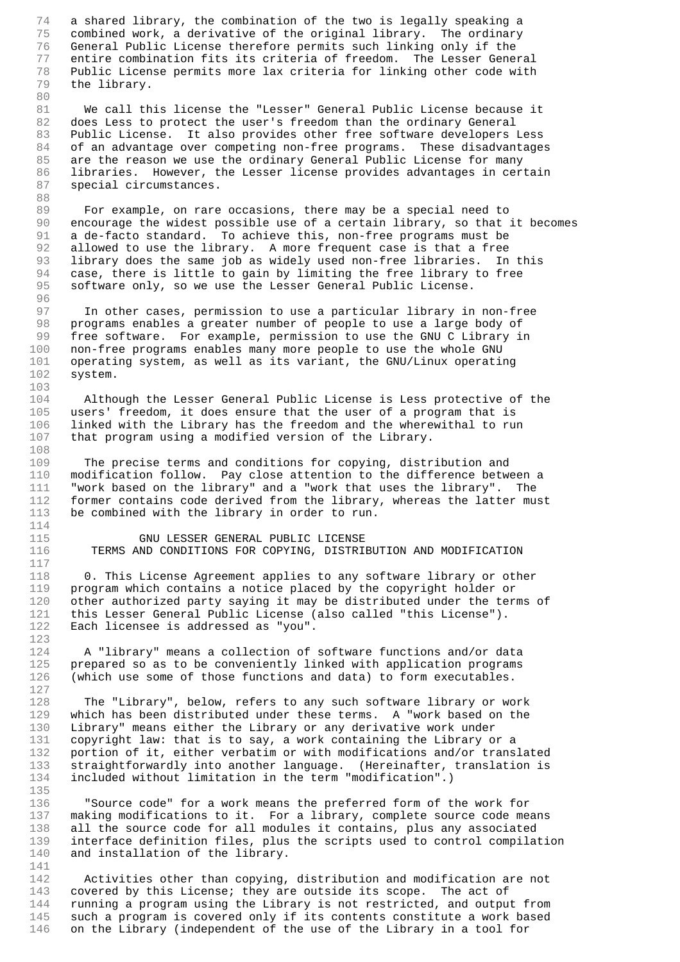74 a shared library, the combination of the two is legally speaking a 75 combined work, a derivative of the original library. The ordinary 76 General Public License therefore permits such linking only if the 77 entire combination fits its criteria of freedom. The Lesser General 78 Public License permits more lax criteria for linking other code with the library. 80

81 We call this license the "Lesser" General Public License because it 82 does Less to protect the user's freedom than the ordinary General 83 Public License. It also provides other free software developers Less 84 of an advantage over competing non-free programs. These disadvantages 85 are the reason we use the ordinary General Public License for many 86 libraries. However, the Lesser license provides advantages in certain 87 special circumstances.

88

96

103

108

114

117

123

127

135

141

89 For example, on rare occasions, there may be a special need to 90 encourage the widest possible use of a certain library, so that it becomes 91 a de-facto standard. To achieve this, non-free programs must be 92 allowed to use the library. A more frequent case is that a free 93 library does the same job as widely used non-free libraries. In this 94 case, there is little to gain by limiting the free library to free 95 software only, so we use the Lesser General Public License.

97 In other cases, permission to use a particular library in non-free 98 programs enables a greater number of people to use a large body of 99 free software. For example, permission to use the GNU C Library in 100 non-free programs enables many more people to use the whole GNU 101 operating system, as well as its variant, the GNU/Linux operating 102 system.

104 Although the Lesser General Public License is Less protective of the 105 users' freedom, it does ensure that the user of a program that is 106 linked with the Library has the freedom and the wherewithal to run 107 that program using a modified version of the Library.

109 The precise terms and conditions for copying, distribution and 110 modification follow. Pay close attention to the difference between a 111 "work based on the library" and a "work that uses the library". The 112 former contains code derived from the library, whereas the latter must 113 be combined with the library in order to run.

115 GNU LESSER GENERAL PUBLIC LICENSE 116 TERMS AND CONDITIONS FOR COPYING, DISTRIBUTION AND MODIFICATION

118 0. This License Agreement applies to any software library or other 119 program which contains a notice placed by the copyright holder or 120 other authorized party saying it may be distributed under the terms of 121 this Lesser General Public License (also called "this License"). 122 Each licensee is addressed as "you".

124 A "library" means a collection of software functions and/or data 125 prepared so as to be conveniently linked with application programs 126 (which use some of those functions and data) to form executables.

128 The "Library", below, refers to any such software library or work 129 which has been distributed under these terms. A "work based on the 130 Library" means either the Library or any derivative work under 131 copyright law: that is to say, a work containing the Library or a 132 portion of it, either verbatim or with modifications and/or translated 133 straightforwardly into another language. (Hereinafter, translation is 134 included without limitation in the term "modification".)

136 "Source code" for a work means the preferred form of the work for 137 making modifications to it. For a library, complete source code means 138 all the source code for all modules it contains, plus any associated 139 interface definition files, plus the scripts used to control compilation 140 and installation of the library.

142 Activities other than copying, distribution and modification are not 143 covered by this License; they are outside its scope. The act of 144 running a program using the Library is not restricted, and output from 145 such a program is covered only if its contents constitute a work based 146 on the Library (independent of the use of the Library in a tool for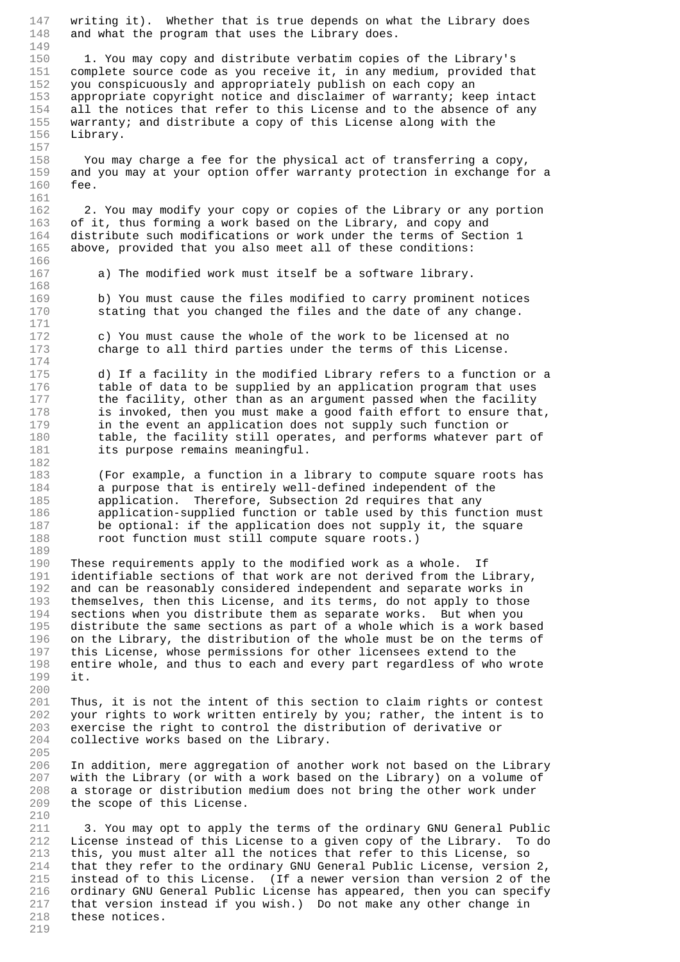147 writing it). Whether that is true depends on what the Library does 148 and what the program that uses the Library does. 149<br>150 150 1. You may copy and distribute verbatim copies of the Library's<br>151 complete source code as you receive it, in any medium, provided t 151 complete source code as you receive it, in any medium, provided that<br>152 vou conspicuously and appropriately publish on each copy an you conspicuously and appropriately publish on each copy an 153 appropriate copyright notice and disclaimer of warranty; keep intact 154 all the notices that refer to this License and to the absence of any 155 warranty; and distribute a copy of this License along with the 156 Library. 157 158 You may charge a fee for the physical act of transferring a copy, 159 and you may at your option offer warranty protection in exchange for a 160 fee. 161 162 2. You may modify your copy or copies of the Library or any portion 163 of it, thus forming a work based on the Library, and copy and 164 distribute such modifications or work under the terms of Section 1 165 above, provided that you also meet all of these conditions: 166<br>167 a) The modified work must itself be a software library. 168 169 b) You must cause the files modified to carry prominent notices 170 stating that you changed the files and the date of any change. 171 172 c) You must cause the whole of the work to be licensed at no 173 charge to all third parties under the terms of this License. 174 175 d) If a facility in the modified Library refers to a function or a 176 table of data to be supplied by an application program that uses 177 the facility, other than as an argument passed when the facility 178 is invoked, then you must make a good faith effort to ensure that, 179 in the event an application does not supply such function or 180 table, the facility still operates, and performs whatever part of 181 its purpose remains meaningful. 182 183 (For example, a function in a library to compute square roots has 184 a purpose that is entirely well-defined independent of the 185 application. Therefore, Subsection 2d requires that any 186 application-supplied function or table used by this function must 187 be optional: if the application does not supply it, the square 188 root function must still compute square roots.) 189 190 These requirements apply to the modified work as a whole. If 191 identifiable sections of that work are not derived from the Library, 192 and can be reasonably considered independent and separate works in 193 themselves, then this License, and its terms, do not apply to those 194 sections when you distribute them as separate works. But when you 195 distribute the same sections as part of a whole which is a work based 196 on the Library, the distribution of the whole must be on the terms of 197 this License, whose permissions for other licensees extend to the 198 entire whole, and thus to each and every part regardless of who wrote 199 it. 200 201 Thus, it is not the intent of this section to claim rights or contest 202 your rights to work written entirely by you; rather, the intent is to 203 exercise the right to control the distribution of derivative or 204 collective works based on the Library. 205 206 In addition, mere aggregation of another work not based on the Library 207 with the Library (or with a work based on the Library) on a volume of 208 a storage or distribution medium does not bring the other work under 209 the scope of this License. 210 211 3. You may opt to apply the terms of the ordinary GNU General Public 212 License instead of this License to a given copy of the Library. To do 213 this, you must alter all the notices that refer to this License, so 214 that they refer to the ordinary GNU General Public License, version 2, 215 instead of to this License. (If a newer version than version 2 of the 216 ordinary GNU General Public License has appeared, then you can specify 217 that version instead if you wish.) Do not make any other change in 218 these notices. 219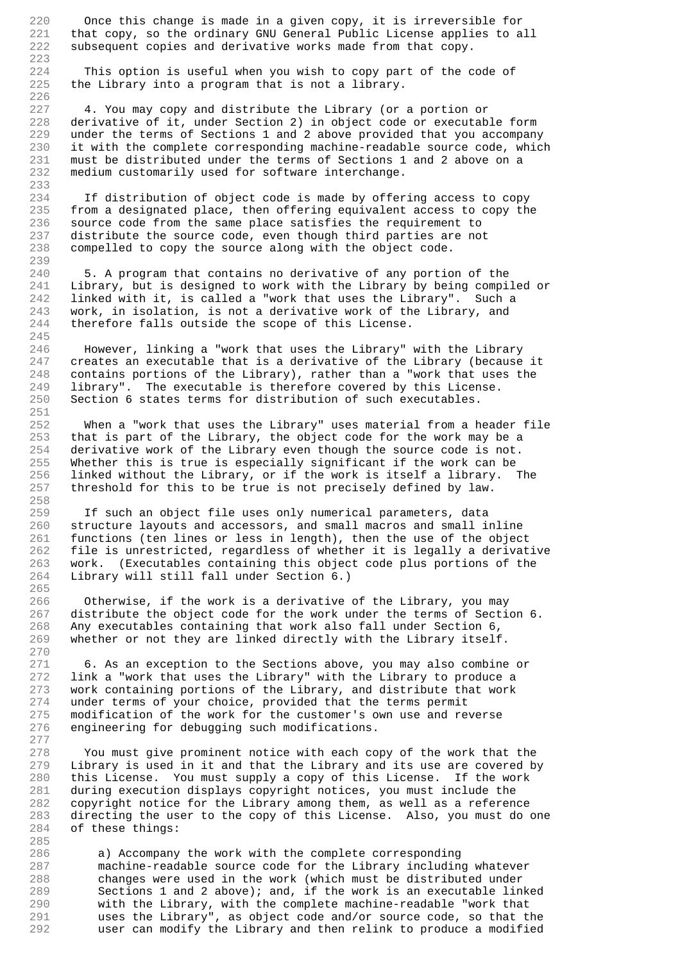220 Once this change is made in a given copy, it is irreversible for 221 that copy, so the ordinary GNU General Public License applies to all 222 subsequent copies and derivative works made from that copy.

223<br>224 224 This option is useful when you wish to copy part of the code of 225 the Library into a program that is not a library. the Library into a program that is not a library. 226

227 4. You may copy and distribute the Library (or a portion or 228 derivative of it, under Section 2) in object code or executable form 229 under the terms of Sections 1 and 2 above provided that you accompany 230 it with the complete corresponding machine-readable source code, which 231 must be distributed under the terms of Sections 1 and 2 above on a 232 medium customarily used for software interchange.

234 If distribution of object code is made by offering access to copy 235 from a designated place, then offering equivalent access to copy the 236 source code from the same place satisfies the requirement to 237 distribute the source code, even though third parties are not 238 compelled to copy the source along with the object code.

233

239

251

258

265

277

285

240 5. A program that contains no derivative of any portion of the 241 Library, but is designed to work with the Library by being compiled or 242 linked with it, is called a "work that uses the Library". Such a 243 work, in isolation, is not a derivative work of the Library, and 244 therefore falls outside the scope of this License. 245

246 However, linking a "work that uses the Library" with the Library 247 creates an executable that is a derivative of the Library (because it 248 contains portions of the Library), rather than a "work that uses the 249 library". The executable is therefore covered by this License. 250 Section 6 states terms for distribution of such executables.

252 When a "work that uses the Library" uses material from a header file 253 that is part of the Library, the object code for the work may be a 254 derivative work of the Library even though the source code is not. 255 Whether this is true is especially significant if the work can be 256 linked without the Library, or if the work is itself a library. The 257 threshold for this to be true is not precisely defined by law.

259 If such an object file uses only numerical parameters, data 260 structure layouts and accessors, and small macros and small inline 261 functions (ten lines or less in length), then the use of the object 262 file is unrestricted, regardless of whether it is legally a derivative 263 work. (Executables containing this object code plus portions of the 264 Library will still fall under Section 6.)

266 Otherwise, if the work is a derivative of the Library, you may<br>267 distribute the object code for the work under the terms of Secti distribute the object code for the work under the terms of Section 6. 268 Any executables containing that work also fall under Section 6, 269 whether or not they are linked directly with the Library itself. 270

271 6. As an exception to the Sections above, you may also combine or 272 link a "work that uses the Library" with the Library to produce a 273 work containing portions of the Library, and distribute that work 274 under terms of your choice, provided that the terms permit 275 modification of the work for the customer's own use and reverse 276 engineering for debugging such modifications.

278 You must give prominent notice with each copy of the work that the 279 Library is used in it and that the Library and its use are covered by 280 this License. You must supply a copy of this License. If the work 281 during execution displays copyright notices, you must include the 282 copyright notice for the Library among them, as well as a reference 283 directing the user to the copy of this License. Also, you must do one 284 of these things:

286 a) Accompany the work with the complete corresponding 287 machine-readable source code for the Library including whatever 288 changes were used in the work (which must be distributed under 289 Sections 1 and 2 above); and, if the work is an executable linked 290 with the Library, with the complete machine-readable "work that 291 uses the Library", as object code and/or source code, so that the 292 user can modify the Library and then relink to produce a modified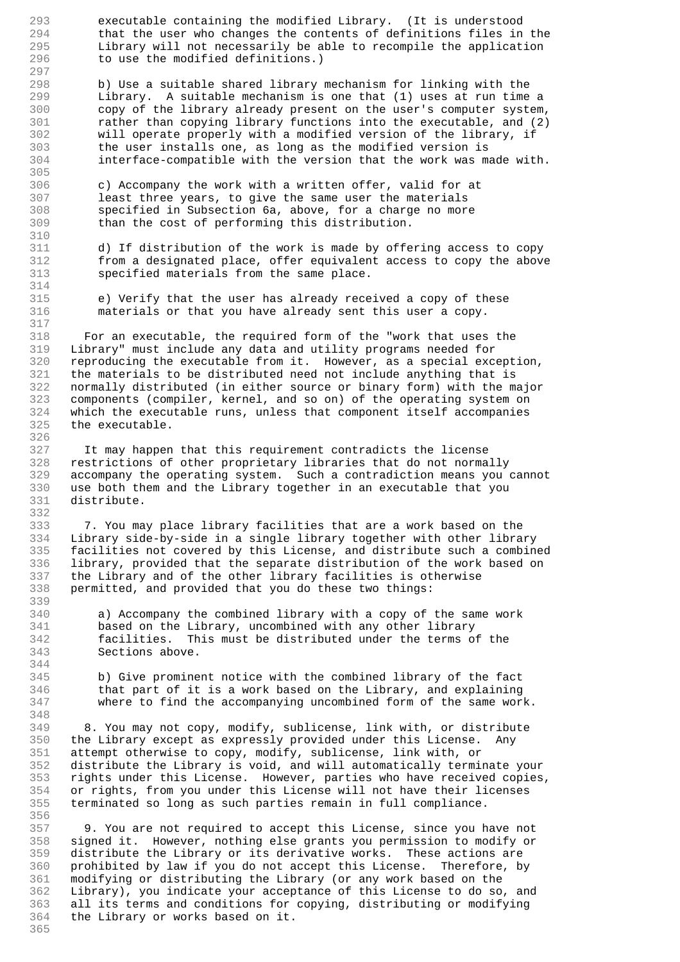293 executable containing the modified Library. (It is understood 294 that the user who changes the contents of definitions files in the 295 Library will not necessarily be able to recompile the application<br>296 to use the modified definitions ) to use the modified definitions.) 297<br>298 b) Use a suitable shared library mechanism for linking with the 299 Library. A suitable mechanism is one that (1) uses at run time a 300 copy of the library already present on the user's computer system, 301 rather than copying library functions into the executable, and (2) 302 will operate properly with a modified version of the library, if 303 the user installs one, as long as the modified version is 304 interface-compatible with the version that the work was made with. 305 306 c) Accompany the work with a written offer, valid for at 307 least three years, to give the same user the materials 308 specified in Subsection 6a, above, for a charge no more 309 than the cost of performing this distribution. 310 311 d) If distribution of the work is made by offering access to copy 312 from a designated place, offer equivalent access to copy the above 313 specified materials from the same place. 314 315 e) Verify that the user has already received a copy of these 316 materials or that you have already sent this user a copy. 317 318 For an executable, the required form of the "work that uses the 319 Library" must include any data and utility programs needed for 320 reproducing the executable from it. However, as a special exception, 321 the materials to be distributed need not include anything that is 322 normally distributed (in either source or binary form) with the major 323 components (compiler, kernel, and so on) of the operating system on 324 which the executable runs, unless that component itself accompanies 325 the executable. 326 327 It may happen that this requirement contradicts the license 328 restrictions of other proprietary libraries that do not normally 329 accompany the operating system. Such a contradiction means you cannot 330 use both them and the Library together in an executable that you 331 distribute. 332 333 7. You may place library facilities that are a work based on the 334 Library side-by-side in a single library together with other library 335 facilities not covered by this License, and distribute such a combined 336 library, provided that the separate distribution of the work based on 337 the Library and of the other library facilities is otherwise 338 permitted, and provided that you do these two things: 339 340 a) Accompany the combined library with a copy of the same work 341 based on the Library, uncombined with any other library 342 facilities. This must be distributed under the terms of the 343 Sections above. 344 345 b) Give prominent notice with the combined library of the fact 346 that part of it is a work based on the Library, and explaining 347 where to find the accompanying uncombined form of the same work. 348 349 8. You may not copy, modify, sublicense, link with, or distribute 350 the Library except as expressly provided under this License. Any 351 attempt otherwise to copy, modify, sublicense, link with, or 352 distribute the Library is void, and will automatically terminate your 353 rights under this License. However, parties who have received copies, 354 or rights, from you under this License will not have their licenses 355 terminated so long as such parties remain in full compliance. 356 357 9. You are not required to accept this License, since you have not 358 signed it. However, nothing else grants you permission to modify or 359 distribute the Library or its derivative works. These actions are 360 prohibited by law if you do not accept this License. Therefore, by 361 modifying or distributing the Library (or any work based on the 362 Library), you indicate your acceptance of this License to do so, and

363 all its terms and conditions for copying, distributing or modifying

364 the Library or works based on it. 365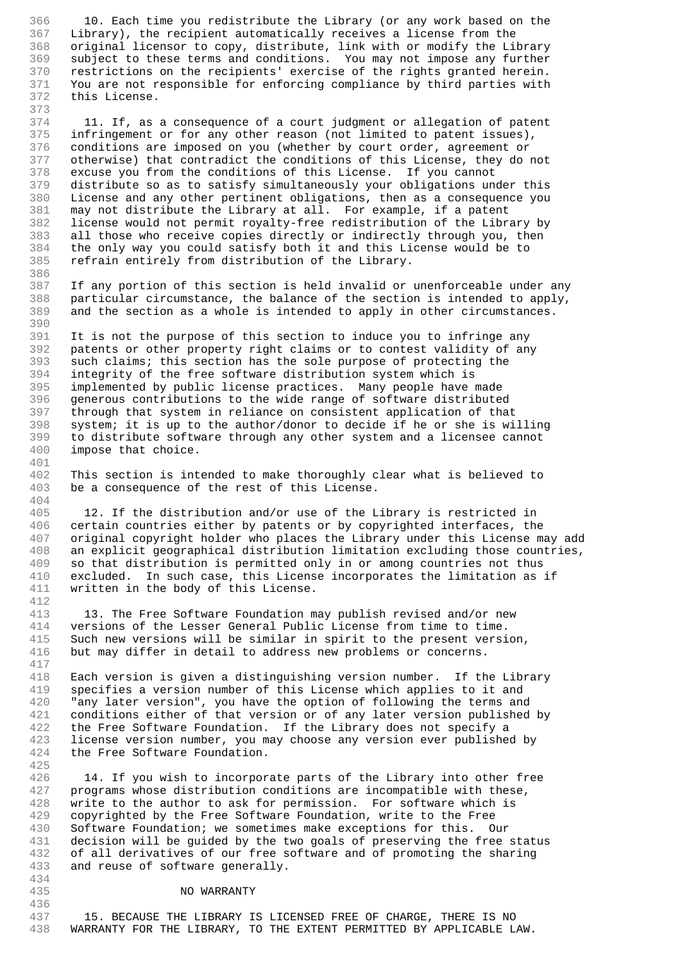366 10. Each time you redistribute the Library (or any work based on the 367 Library), the recipient automatically receives a license from the 368 original licensor to copy, distribute, link with or modify the Library<br>369 subject to these terms and conditions. You may not impose any further 369 subject to these terms and conditions. You may not impose any further<br>370 restrictions on the recipients' exercise of the rights granted herein. 370 restrictions on the recipients' exercise of the rights granted herein.<br>371 You are not responsible for enforcing compliance by third parties with You are not responsible for enforcing compliance by third parties with 372 this License.

373

386

390

401

404

412

417

425

436

374 11. If, as a consequence of a court judgment or allegation of patent 375 infringement or for any other reason (not limited to patent issues), 376 conditions are imposed on you (whether by court order, agreement or 377 otherwise) that contradict the conditions of this License, they do not 378 excuse you from the conditions of this License. If you cannot 379 distribute so as to satisfy simultaneously your obligations under this 380 License and any other pertinent obligations, then as a consequence you 381 may not distribute the Library at all. For example, if a patent 382 license would not permit royalty-free redistribution of the Library by<br>383 all those who receive copies directly or indirectly through you, then 383 all those who receive copies directly or indirectly through you, then<br>384 the only way you could satisfy both it and this License would be to 384 the only way you could satisfy both it and this License would be to<br>385 refrain entirely from distribution of the Library. refrain entirely from distribution of the Library.

387 If any portion of this section is held invalid or unenforceable under any 388 particular circumstance, the balance of the section is intended to apply, 389 and the section as a whole is intended to apply in other circumstances.

391 It is not the purpose of this section to induce you to infringe any 392 patents or other property right claims or to contest validity of any 393 such claims; this section has the sole purpose of protecting the 394 integrity of the free software distribution system which is 395 implemented by public license practices. Many people have made 396 generous contributions to the wide range of software distributed 397 through that system in reliance on consistent application of that 398 system; it is up to the author/donor to decide if he or she is willing<br>399 to distribute software through any other system and a licensee cannot 399 to distribute software through any other system and a licensee cannot 400 impose that choice. impose that choice.

402 This section is intended to make thoroughly clear what is believed to 403 be a consequence of the rest of this License.

405 12. If the distribution and/or use of the Library is restricted in 406 certain countries either by patents or by copyrighted interfaces, the 407 original copyright holder who places the Library under this License may add 408 an explicit geographical distribution limitation excluding those countries, 409 so that distribution is permitted only in or among countries not thus 410 excluded. In such case, this License incorporates the limitation as if 411 written in the body of this License.

413 13. The Free Software Foundation may publish revised and/or new 414 versions of the Lesser General Public License from time to time. 415 Such new versions will be similar in spirit to the present version, 416 but may differ in detail to address new problems or concerns.

418 Each version is given a distinguishing version number. If the Library 419 specifies a version number of this License which applies to it and 420 "any later version", you have the option of following the terms and 421 conditions either of that version or of any later version published by 422 the Free Software Foundation. If the Library does not specify a 423 license version number, you may choose any version ever published by 424 the Free Software Foundation.

426 14. If you wish to incorporate parts of the Library into other free 427 programs whose distribution conditions are incompatible with these, 428 write to the author to ask for permission. For software which is 429 copyrighted by the Free Software Foundation, write to the Free 430 Software Foundation; we sometimes make exceptions for this. Our 431 decision will be guided by the two goals of preserving the free status 432 of all derivatives of our free software and of promoting the sharing 433 and reuse of software generally. 434

## 435 NO WARRANTY

437 15. BECAUSE THE LIBRARY IS LICENSED FREE OF CHARGE, THERE IS NO 438 WARRANTY FOR THE LIBRARY, TO THE EXTENT PERMITTED BY APPLICABLE LAW.